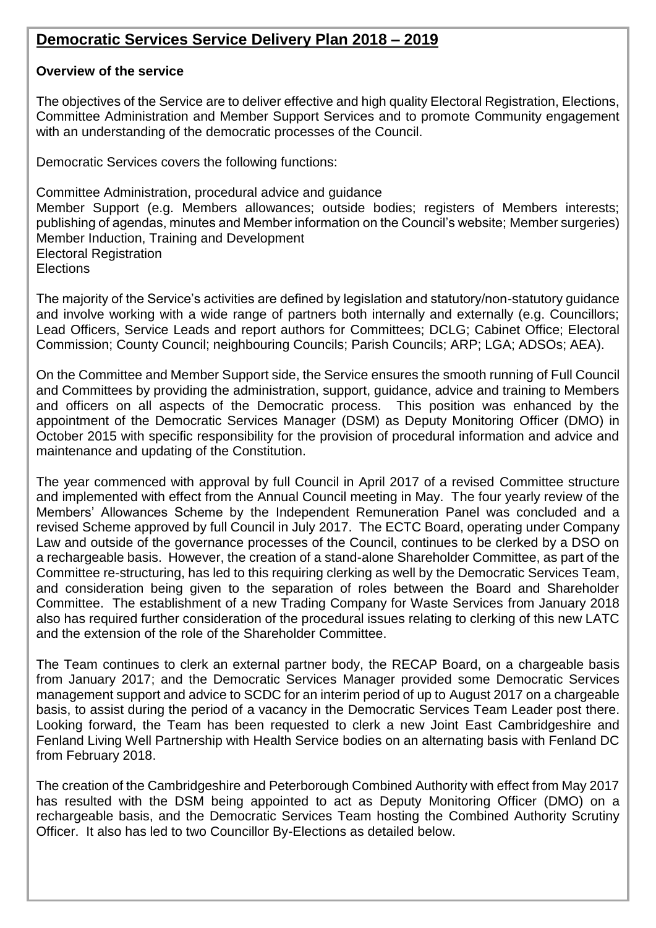## **Democratic Services Service Delivery Plan 2018 – 2019**

### **Overview of the service**

The objectives of the Service are to deliver effective and high quality Electoral Registration, Elections, Committee Administration and Member Support Services and to promote Community engagement with an understanding of the democratic processes of the Council.

Democratic Services covers the following functions:

Committee Administration, procedural advice and guidance Member Support (e.g. Members allowances; outside bodies; registers of Members interests; publishing of agendas, minutes and Member information on the Council's website; Member surgeries) Member Induction, Training and Development Electoral Registration **Elections** 

The majority of the Service's activities are defined by legislation and statutory/non-statutory guidance and involve working with a wide range of partners both internally and externally (e.g. Councillors; Lead Officers, Service Leads and report authors for Committees; DCLG; Cabinet Office; Electoral Commission; County Council; neighbouring Councils; Parish Councils; ARP; LGA; ADSOs; AEA).

On the Committee and Member Support side, the Service ensures the smooth running of Full Council and Committees by providing the administration, support, guidance, advice and training to Members and officers on all aspects of the Democratic process. This position was enhanced by the appointment of the Democratic Services Manager (DSM) as Deputy Monitoring Officer (DMO) in October 2015 with specific responsibility for the provision of procedural information and advice and maintenance and updating of the Constitution.

The year commenced with approval by full Council in April 2017 of a revised Committee structure and implemented with effect from the Annual Council meeting in May. The four yearly review of the Members' Allowances Scheme by the Independent Remuneration Panel was concluded and a revised Scheme approved by full Council in July 2017. The ECTC Board, operating under Company Law and outside of the governance processes of the Council, continues to be clerked by a DSO on a rechargeable basis. However, the creation of a stand-alone Shareholder Committee, as part of the Committee re-structuring, has led to this requiring clerking as well by the Democratic Services Team, and consideration being given to the separation of roles between the Board and Shareholder Committee. The establishment of a new Trading Company for Waste Services from January 2018 also has required further consideration of the procedural issues relating to clerking of this new LATC and the extension of the role of the Shareholder Committee.

The Team continues to clerk an external partner body, the RECAP Board, on a chargeable basis from January 2017; and the Democratic Services Manager provided some Democratic Services management support and advice to SCDC for an interim period of up to August 2017 on a chargeable basis, to assist during the period of a vacancy in the Democratic Services Team Leader post there. Looking forward, the Team has been requested to clerk a new Joint East Cambridgeshire and Fenland Living Well Partnership with Health Service bodies on an alternating basis with Fenland DC from February 2018.

The creation of the Cambridgeshire and Peterborough Combined Authority with effect from May 2017 has resulted with the DSM being appointed to act as Deputy Monitoring Officer (DMO) on a rechargeable basis, and the Democratic Services Team hosting the Combined Authority Scrutiny Officer. It also has led to two Councillor By-Elections as detailed below.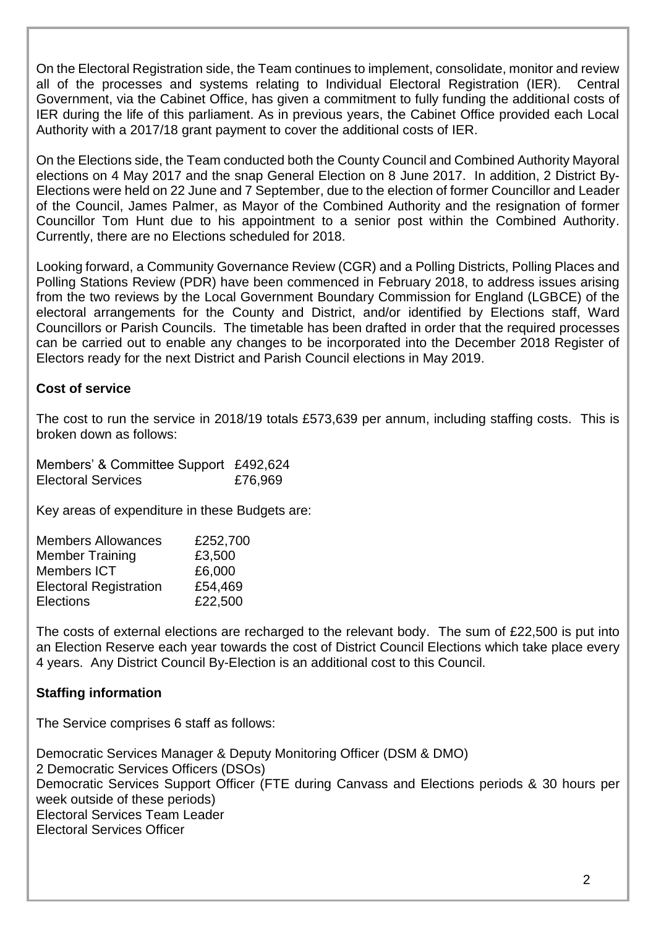On the Electoral Registration side, the Team continues to implement, consolidate, monitor and review all of the processes and systems relating to Individual Electoral Registration (IER). Central Government, via the Cabinet Office, has given a commitment to fully funding the additional costs of IER during the life of this parliament. As in previous years, the Cabinet Office provided each Local Authority with a 2017/18 grant payment to cover the additional costs of IER.

On the Elections side, the Team conducted both the County Council and Combined Authority Mayoral elections on 4 May 2017 and the snap General Election on 8 June 2017. In addition, 2 District By-Elections were held on 22 June and 7 September, due to the election of former Councillor and Leader of the Council, James Palmer, as Mayor of the Combined Authority and the resignation of former Councillor Tom Hunt due to his appointment to a senior post within the Combined Authority. Currently, there are no Elections scheduled for 2018.

Looking forward, a Community Governance Review (CGR) and a Polling Districts, Polling Places and Polling Stations Review (PDR) have been commenced in February 2018, to address issues arising from the two reviews by the Local Government Boundary Commission for England (LGBCE) of the electoral arrangements for the County and District, and/or identified by Elections staff, Ward Councillors or Parish Councils. The timetable has been drafted in order that the required processes can be carried out to enable any changes to be incorporated into the December 2018 Register of Electors ready for the next District and Parish Council elections in May 2019.

### **Cost of service**

The cost to run the service in 2018/19 totals £573,639 per annum, including staffing costs. This is broken down as follows:

Members' & Committee Support £492,624 Electoral Services **£76,969** 

Key areas of expenditure in these Budgets are:

| <b>Members Allowances</b>     | £252,700 |
|-------------------------------|----------|
| <b>Member Training</b>        | £3,500   |
| <b>Members ICT</b>            | £6,000   |
| <b>Electoral Registration</b> | £54,469  |
| <b>Elections</b>              | £22,500  |
|                               |          |

The costs of external elections are recharged to the relevant body. The sum of £22,500 is put into an Election Reserve each year towards the cost of District Council Elections which take place every 4 years. Any District Council By-Election is an additional cost to this Council.

### **Staffing information**

The Service comprises 6 staff as follows:

Democratic Services Manager & Deputy Monitoring Officer (DSM & DMO) 2 Democratic Services Officers (DSOs) Democratic Services Support Officer (FTE during Canvass and Elections periods & 30 hours per week outside of these periods) Electoral Services Team Leader Electoral Services Officer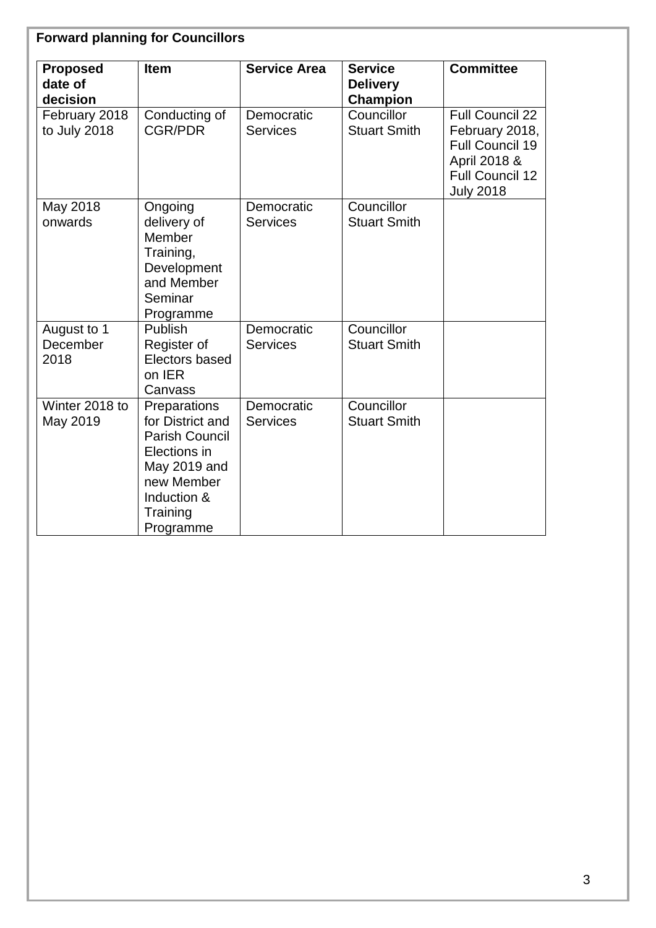| <b>Proposed</b><br>date of<br>decision | <b>Item</b>                                                                                                                                     | <b>Service Area</b>           | <b>Service</b><br><b>Delivery</b><br>Champion | <b>Committee</b>                                                                                                   |
|----------------------------------------|-------------------------------------------------------------------------------------------------------------------------------------------------|-------------------------------|-----------------------------------------------|--------------------------------------------------------------------------------------------------------------------|
| February 2018<br>to July 2018          | Conducting of<br><b>CGR/PDR</b>                                                                                                                 | Democratic<br><b>Services</b> | Councillor<br><b>Stuart Smith</b>             | <b>Full Council 22</b><br>February 2018,<br>Full Council 19<br>April 2018 &<br>Full Council 12<br><b>July 2018</b> |
| May 2018<br>onwards                    | Ongoing<br>delivery of<br>Member<br>Training,<br>Development<br>and Member<br>Seminar<br>Programme                                              | Democratic<br><b>Services</b> | Councillor<br><b>Stuart Smith</b>             |                                                                                                                    |
| August to 1<br>December<br>2018        | Publish<br>Register of<br>Electors based<br>on IER<br>Canvass                                                                                   | Democratic<br><b>Services</b> | Councillor<br><b>Stuart Smith</b>             |                                                                                                                    |
| Winter 2018 to<br>May 2019             | Preparations<br>for District and<br><b>Parish Council</b><br>Elections in<br>May 2019 and<br>new Member<br>Induction &<br>Training<br>Programme | Democratic<br><b>Services</b> | Councillor<br><b>Stuart Smith</b>             |                                                                                                                    |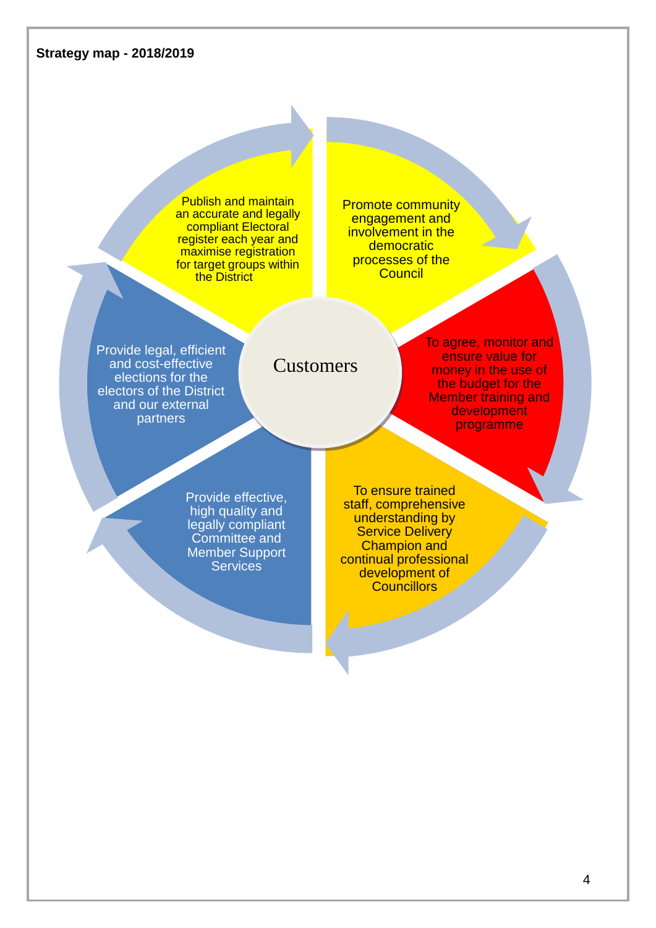

4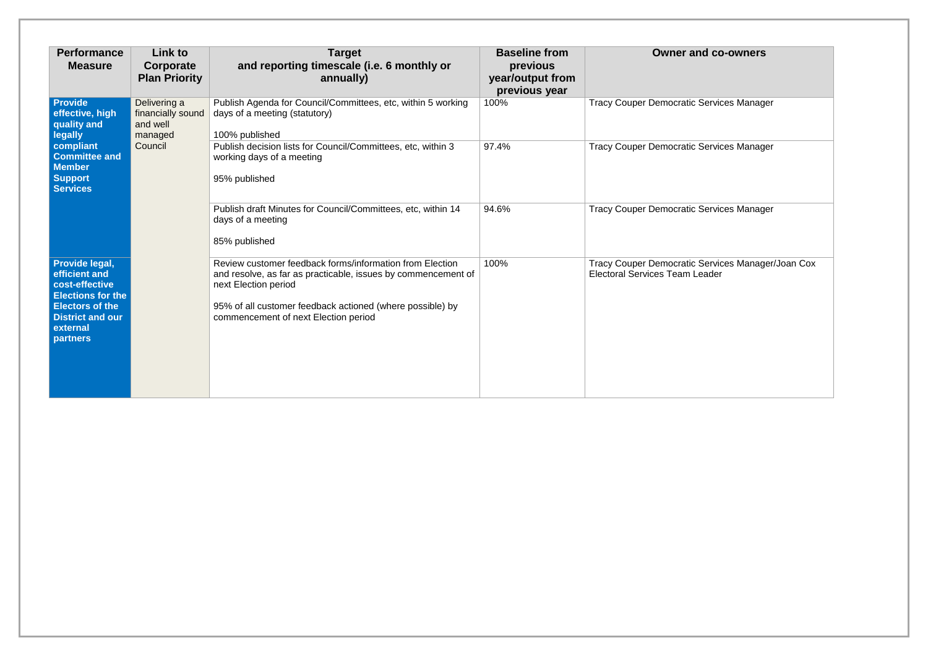| <b>Owner and co-owners</b>                             |
|--------------------------------------------------------|
| Democratic Services Manager                            |
| Democratic Services Manager                            |
| Democratic Services Manager                            |
| Democratic Services Manager/Joan Cox<br>es Team Leader |

| <b>Performance</b><br><b>Measure</b>                                                                                                                              | <b>Link to</b><br>Corporate<br><b>Plan Priority</b>      | <b>Target</b><br>and reporting timescale (i.e. 6 monthly or<br>annually)                                                                                                                                                                               | <b>Baseline from</b><br>previous<br>year/output from<br>previous year | <b>Owner and co-owners</b>                                                                 |
|-------------------------------------------------------------------------------------------------------------------------------------------------------------------|----------------------------------------------------------|--------------------------------------------------------------------------------------------------------------------------------------------------------------------------------------------------------------------------------------------------------|-----------------------------------------------------------------------|--------------------------------------------------------------------------------------------|
| Provide<br>effective, high<br>quality and<br><b>legally</b>                                                                                                       | Delivering a<br>financially sound<br>and well<br>managed | Publish Agenda for Council/Committees, etc, within 5 working<br>days of a meeting (statutory)<br>100% published                                                                                                                                        | 100%                                                                  | <b>Tracy Couper Democratic Services Manager</b>                                            |
| compliant<br><b>Committee and</b><br><b>Member</b><br><b>Support</b><br><b>Services</b>                                                                           | Council                                                  | Publish decision lists for Council/Committees, etc, within 3<br>working days of a meeting<br>95% published                                                                                                                                             | 97.4%                                                                 | <b>Tracy Couper Democratic Services Manager</b>                                            |
|                                                                                                                                                                   |                                                          | Publish draft Minutes for Council/Committees, etc, within 14<br>days of a meeting<br>85% published                                                                                                                                                     | 94.6%                                                                 | <b>Tracy Couper Democratic Services Manager</b>                                            |
| Provide legal,<br>efficient and<br>cost-effective<br><b>Elections for the</b><br><b>Electors of the</b><br><b>District and our</b><br>external<br><b>partners</b> |                                                          | Review customer feedback forms/information from Election<br>and resolve, as far as practicable, issues by commencement of<br>next Election period<br>95% of all customer feedback actioned (where possible) by<br>commencement of next Election period | 100%                                                                  | Tracy Couper Democratic Services Manager/Joan Cox<br><b>Electoral Services Team Leader</b> |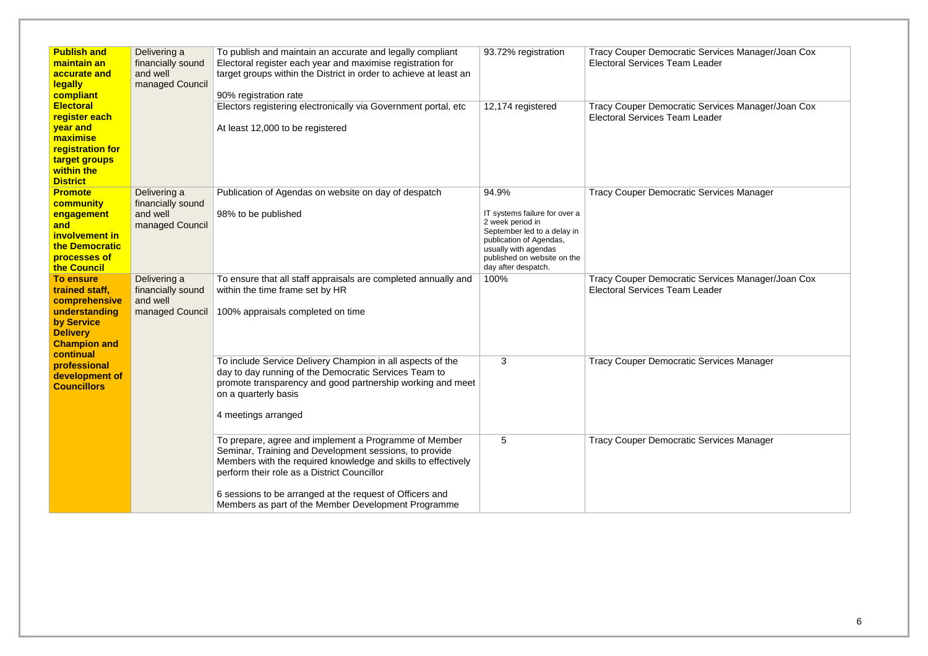| <b>Publish and</b>                                                                                                                        |                                                                  |                                                                                                                                                                                                                                                                                                                                                    |                                                                                                                                                                                                    |                                                                                            |
|-------------------------------------------------------------------------------------------------------------------------------------------|------------------------------------------------------------------|----------------------------------------------------------------------------------------------------------------------------------------------------------------------------------------------------------------------------------------------------------------------------------------------------------------------------------------------------|----------------------------------------------------------------------------------------------------------------------------------------------------------------------------------------------------|--------------------------------------------------------------------------------------------|
| maintain an<br>accurate and<br><b>legally</b><br>compliant                                                                                | Delivering a<br>financially sound<br>and well<br>managed Council | To publish and maintain an accurate and legally compliant<br>Electoral register each year and maximise registration for<br>target groups within the District in order to achieve at least an<br>90% registration rate                                                                                                                              | 93.72% registration                                                                                                                                                                                | Tracy Couper Democratic Services Manager/Joan Cox<br><b>Electoral Services Team Leader</b> |
| <b>Electoral</b><br>register each<br>year and<br>maximise<br>registration for<br>target groups<br>within the<br><b>District</b>           |                                                                  | Electors registering electronically via Government portal, etc<br>At least 12,000 to be registered                                                                                                                                                                                                                                                 | 12,174 registered                                                                                                                                                                                  | Tracy Couper Democratic Services Manager/Joan Cox<br><b>Electoral Services Team Leader</b> |
| <b>Promote</b><br><b>community</b><br>engagement<br>and<br>involvement in<br>the Democratic<br>processes of<br>the Council                | Delivering a<br>financially sound<br>and well<br>managed Council | Publication of Agendas on website on day of despatch<br>98% to be published                                                                                                                                                                                                                                                                        | 94.9%<br>IT systems failure for over a<br>2 week period in<br>September led to a delay in<br>publication of Agendas,<br>usually with agendas<br>published on website on the<br>day after despatch. | <b>Tracy Couper Democratic Services Manager</b>                                            |
| <b>To ensure</b><br>trained staff,<br>comprehensive<br>understanding<br>by Service<br><b>Delivery</b><br><b>Champion and</b><br>continual | Delivering a<br>financially sound<br>and well<br>managed Council | To ensure that all staff appraisals are completed annually and<br>within the time frame set by HR<br>100% appraisals completed on time                                                                                                                                                                                                             | 100%                                                                                                                                                                                               | Tracy Couper Democratic Services Manager/Joan Cox<br><b>Electoral Services Team Leader</b> |
| professional<br>development of<br><b>Councillors</b>                                                                                      |                                                                  | To include Service Delivery Champion in all aspects of the<br>day to day running of the Democratic Services Team to<br>promote transparency and good partnership working and meet<br>on a quarterly basis<br>4 meetings arranged                                                                                                                   | 3                                                                                                                                                                                                  | <b>Tracy Couper Democratic Services Manager</b>                                            |
|                                                                                                                                           |                                                                  | To prepare, agree and implement a Programme of Member<br>Seminar, Training and Development sessions, to provide<br>Members with the required knowledge and skills to effectively<br>perform their role as a District Councillor<br>6 sessions to be arranged at the request of Officers and<br>Members as part of the Member Development Programme | 5                                                                                                                                                                                                  | <b>Tracy Couper Democratic Services Manager</b>                                            |

| Services Manager/Joan Cox<br>Services Manager/Joan Cox<br>Services Manager<br>Services Manager/Joan Cox<br>Services Manager<br>Services Manager |       |  |
|-------------------------------------------------------------------------------------------------------------------------------------------------|-------|--|
|                                                                                                                                                 | eader |  |
|                                                                                                                                                 | eader |  |
|                                                                                                                                                 |       |  |
|                                                                                                                                                 | eader |  |
|                                                                                                                                                 |       |  |
|                                                                                                                                                 |       |  |